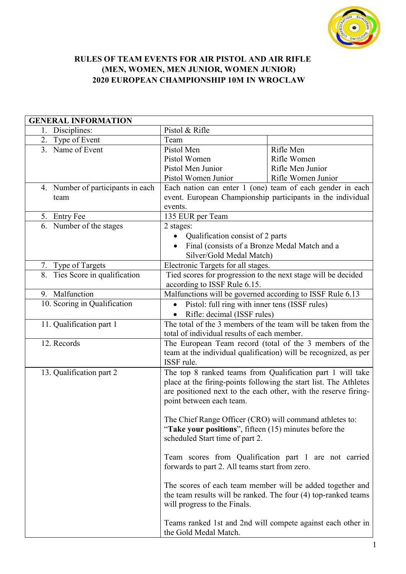

## RULES OF TEAM EVENTS FOR AIR PISTOL AND AIR RIFLE (MEN, WOMEN, MEN JUNIOR, WOMEN JUNIOR) 2020 EUROPEAN CHAMPIONSHIP 10M IN WROCLAW

| <b>GENERAL INFORMATION</b> |                                   |                                                                   |                    |  |
|----------------------------|-----------------------------------|-------------------------------------------------------------------|--------------------|--|
|                            | 1. Disciplines:                   | Pistol & Rifle                                                    |                    |  |
|                            | 2. Type of Event                  | Team                                                              |                    |  |
|                            | 3. Name of Event                  | Pistol Men                                                        | Rifle Men          |  |
|                            |                                   | Pistol Women                                                      | Rifle Women        |  |
|                            |                                   | Pistol Men Junior                                                 | Rifle Men Junior   |  |
|                            |                                   | Pistol Women Junior                                               | Rifle Women Junior |  |
|                            | 4. Number of participants in each | Each nation can enter 1 (one) team of each gender in each         |                    |  |
|                            | team                              | event. European Championship participants in the individual       |                    |  |
|                            |                                   | events.                                                           |                    |  |
|                            | 5. Entry Fee                      | 135 EUR per Team                                                  |                    |  |
|                            | 6. Number of the stages           | 2 stages:                                                         |                    |  |
|                            |                                   | Qualification consist of 2 parts<br>$\bullet$                     |                    |  |
|                            |                                   | Final (consists of a Bronze Medal Match and a                     |                    |  |
|                            |                                   | Silver/Gold Medal Match)                                          |                    |  |
|                            | 7. Type of Targets                | Electronic Targets for all stages.                                |                    |  |
|                            | 8. Ties Score in qualification    | Tied scores for progression to the next stage will be decided     |                    |  |
|                            |                                   | according to ISSF Rule 6.15.                                      |                    |  |
|                            | 9. Malfunction                    | Malfunctions will be governed according to ISSF Rule 6.13         |                    |  |
|                            | 10. Scoring in Qualification      | Pistol: full ring with inner tens (ISSF rules)<br>$\bullet$       |                    |  |
|                            |                                   | Rifle: decimal (ISSF rules)                                       |                    |  |
|                            | 11. Qualification part 1          | The total of the 3 members of the team will be taken from the     |                    |  |
|                            |                                   | total of individual results of each member.                       |                    |  |
|                            | 12. Records                       | The European Team record (total of the 3 members of the           |                    |  |
|                            |                                   | team at the individual qualification) will be recognized, as per  |                    |  |
|                            |                                   | ISSF rule.                                                        |                    |  |
|                            | 13. Qualification part 2          | The top 8 ranked teams from Qualification part 1 will take        |                    |  |
|                            |                                   | place at the firing-points following the start list. The Athletes |                    |  |
|                            |                                   | are positioned next to the each other, with the reserve firing-   |                    |  |
|                            |                                   | point between each team.                                          |                    |  |
|                            |                                   |                                                                   |                    |  |
|                            |                                   | The Chief Range Officer (CRO) will command athletes to:           |                    |  |
|                            |                                   | "Take your positions", fifteen $(15)$ minutes before the          |                    |  |
|                            |                                   | scheduled Start time of part 2.                                   |                    |  |
|                            |                                   |                                                                   |                    |  |
|                            |                                   | Team scores from Qualification part 1 are not carried             |                    |  |
|                            |                                   | forwards to part 2. All teams start from zero.                    |                    |  |
|                            |                                   |                                                                   |                    |  |
|                            |                                   | The scores of each team member will be added together and         |                    |  |
|                            |                                   | the team results will be ranked. The four (4) top-ranked teams    |                    |  |
|                            |                                   | will progress to the Finals.                                      |                    |  |
|                            |                                   |                                                                   |                    |  |
|                            |                                   | Teams ranked 1st and 2nd will compete against each other in       |                    |  |
|                            |                                   | the Gold Medal Match.                                             |                    |  |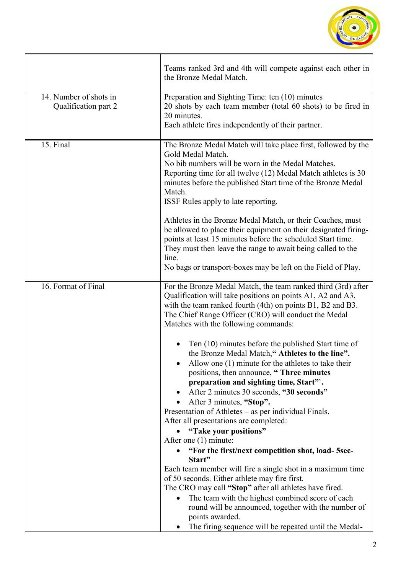

|                                                | Teams ranked 3rd and 4th will compete against each other in<br>the Bronze Medal Match.                                                                                                                                                                                                                                                                                                                                                                                                                                                                                                                                                                                                                                                                                                                                                                                                                                                                                                                                                                                                                                                               |
|------------------------------------------------|------------------------------------------------------------------------------------------------------------------------------------------------------------------------------------------------------------------------------------------------------------------------------------------------------------------------------------------------------------------------------------------------------------------------------------------------------------------------------------------------------------------------------------------------------------------------------------------------------------------------------------------------------------------------------------------------------------------------------------------------------------------------------------------------------------------------------------------------------------------------------------------------------------------------------------------------------------------------------------------------------------------------------------------------------------------------------------------------------------------------------------------------------|
| 14. Number of shots in<br>Qualification part 2 | Preparation and Sighting Time: ten (10) minutes<br>20 shots by each team member (total 60 shots) to be fired in<br>20 minutes.<br>Each athlete fires independently of their partner.                                                                                                                                                                                                                                                                                                                                                                                                                                                                                                                                                                                                                                                                                                                                                                                                                                                                                                                                                                 |
| 15. Final                                      | The Bronze Medal Match will take place first, followed by the<br>Gold Medal Match.<br>No bib numbers will be worn in the Medal Matches.<br>Reporting time for all twelve (12) Medal Match athletes is 30<br>minutes before the published Start time of the Bronze Medal<br>Match.<br>ISSF Rules apply to late reporting.<br>Athletes in the Bronze Medal Match, or their Coaches, must<br>be allowed to place their equipment on their designated firing-<br>points at least 15 minutes before the scheduled Start time.<br>They must then leave the range to await being called to the<br>line.<br>No bags or transport-boxes may be left on the Field of Play.                                                                                                                                                                                                                                                                                                                                                                                                                                                                                     |
| 16. Format of Final                            | For the Bronze Medal Match, the team ranked third (3rd) after<br>Qualification will take positions on points A1, A2 and A3,<br>with the team ranked fourth (4th) on points B1, B2 and B3.<br>The Chief Range Officer (CRO) will conduct the Medal<br>Matches with the following commands:<br>Ten (10) minutes before the published Start time of<br>the Bronze Medal Match," Athletes to the line".<br>Allow one $(1)$ minute for the athletes to take their<br>positions, then announce, "Three minutes<br>preparation and sighting time, Start".<br>After 2 minutes 30 seconds, "30 seconds"<br>After 3 minutes, "Stop".<br>Presentation of Athletes - as per individual Finals.<br>After all presentations are completed:<br>"Take your positions"<br>After one (1) minute:<br>"For the first/next competition shot, load-5sec-<br>Start"<br>Each team member will fire a single shot in a maximum time<br>of 50 seconds. Either athlete may fire first.<br>The CRO may call "Stop" after all athletes have fired.<br>The team with the highest combined score of each<br>round will be announced, together with the number of<br>points awarded. |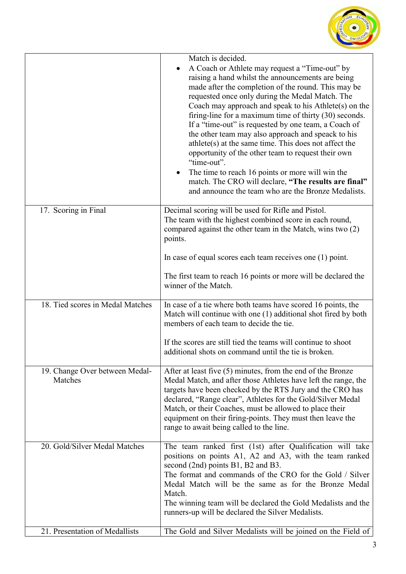

|                                           | Match is decided.<br>A Coach or Athlete may request a "Time-out" by<br>raising a hand whilst the announcements are being<br>made after the completion of the round. This may be<br>requested once only during the Medal Match. The<br>Coach may approach and speak to his Athlete(s) on the<br>firing-line for a maximum time of thirty $(30)$ seconds.<br>If a "time-out" is requested by one team, a Coach of<br>the other team may also approach and speack to his<br>$\text{athlete}(s)$ at the same time. This does not affect the<br>opportunity of the other team to request their own<br>"time-out".<br>The time to reach 16 points or more will win the<br>match. The CRO will declare, "The results are final"<br>and announce the team who are the Bronze Medalists. |
|-------------------------------------------|---------------------------------------------------------------------------------------------------------------------------------------------------------------------------------------------------------------------------------------------------------------------------------------------------------------------------------------------------------------------------------------------------------------------------------------------------------------------------------------------------------------------------------------------------------------------------------------------------------------------------------------------------------------------------------------------------------------------------------------------------------------------------------|
| 17. Scoring in Final                      | Decimal scoring will be used for Rifle and Pistol.<br>The team with the highest combined score in each round,<br>compared against the other team in the Match, wins two (2)<br>points.<br>In case of equal scores each team receives one (1) point.<br>The first team to reach 16 points or more will be declared the<br>winner of the Match.                                                                                                                                                                                                                                                                                                                                                                                                                                   |
| 18. Tied scores in Medal Matches          | In case of a tie where both teams have scored 16 points, the<br>Match will continue with one (1) additional shot fired by both<br>members of each team to decide the tie.<br>If the scores are still tied the teams will continue to shoot<br>additional shots on command until the tie is broken.                                                                                                                                                                                                                                                                                                                                                                                                                                                                              |
| 19. Change Over between Medal-<br>Matches | After at least five (5) minutes, from the end of the Bronze<br>Medal Match, and after those Athletes have left the range, the<br>targets have been checked by the RTS Jury and the CRO has<br>declared, "Range clear", Athletes for the Gold/Silver Medal<br>Match, or their Coaches, must be allowed to place their<br>equipment on their firing-points. They must then leave the<br>range to await being called to the line.                                                                                                                                                                                                                                                                                                                                                  |
| 20. Gold/Silver Medal Matches             | The team ranked first (1st) after Qualification will take<br>positions on points A1, A2 and A3, with the team ranked<br>second (2nd) points B1, B2 and B3.<br>The format and commands of the CRO for the Gold / Silver<br>Medal Match will be the same as for the Bronze Medal<br>Match.<br>The winning team will be declared the Gold Medalists and the<br>runners-up will be declared the Silver Medalists.                                                                                                                                                                                                                                                                                                                                                                   |
| 21. Presentation of Medallists            | The Gold and Silver Medalists will be joined on the Field of                                                                                                                                                                                                                                                                                                                                                                                                                                                                                                                                                                                                                                                                                                                    |